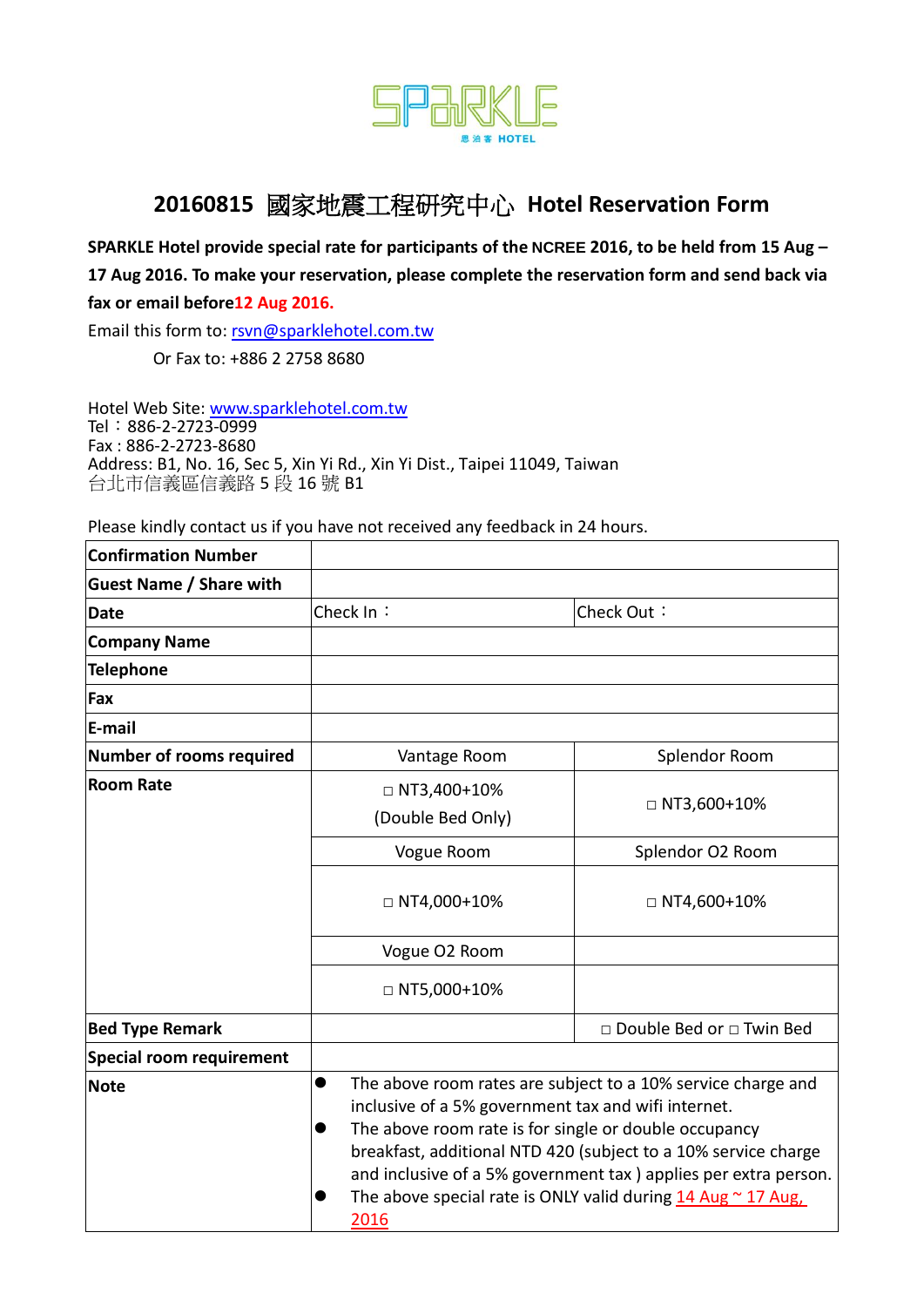

## **20160815** 國家地震工程研究中心 **Hotel Reservation Form**

**SPARKLE Hotel provide special rate for participants of the NCREE 2016, to be held from 15 Aug – 17 Aug 2016. To make your reservation, please complete the reservation form and send back via fax or email before12 Aug 2016.** 

Email this form to: [rsvn@sparklehotel.com.tw](mailto:rsvn@sparklehotel.com.tw)

Or Fax to: +886 2 2758 8680

Hotel Web Site: [www.sparklehotel.com.tw](http://www.sparklehotel.com.tw/)  Tel:886-2-2723-0999 Fax : 886-2-2723-8680 Address: B1, No. 16, Sec 5, Xin Yi Rd., Xin Yi Dist., Taipei 11049, Taiwan 台北市信義區信義路 5 段 16 號 B1

Please kindly contact us if you have not received any feedback in 24 hours.

| <b>Confirmation Number</b>      |                                                                                                                                                                                                                                                                                                                                                                                                                                         |                            |  |
|---------------------------------|-----------------------------------------------------------------------------------------------------------------------------------------------------------------------------------------------------------------------------------------------------------------------------------------------------------------------------------------------------------------------------------------------------------------------------------------|----------------------------|--|
| <b>Guest Name / Share with</b>  |                                                                                                                                                                                                                                                                                                                                                                                                                                         |                            |  |
| <b>Date</b>                     | Check In:                                                                                                                                                                                                                                                                                                                                                                                                                               | Check Out:                 |  |
| <b>Company Name</b>             |                                                                                                                                                                                                                                                                                                                                                                                                                                         |                            |  |
| <b>Telephone</b>                |                                                                                                                                                                                                                                                                                                                                                                                                                                         |                            |  |
| Fax                             |                                                                                                                                                                                                                                                                                                                                                                                                                                         |                            |  |
| E-mail                          |                                                                                                                                                                                                                                                                                                                                                                                                                                         |                            |  |
| <b>Number of rooms required</b> | Vantage Room                                                                                                                                                                                                                                                                                                                                                                                                                            | Splendor Room              |  |
| <b>Room Rate</b>                | $\Box$ NT3,400+10%<br>(Double Bed Only)                                                                                                                                                                                                                                                                                                                                                                                                 | $\Box$ NT3,600+10%         |  |
|                                 | Vogue Room                                                                                                                                                                                                                                                                                                                                                                                                                              | Splendor O2 Room           |  |
|                                 | $\Box$ NT4,000+10%                                                                                                                                                                                                                                                                                                                                                                                                                      | $\Box$ NT4,600+10%         |  |
|                                 | Vogue O2 Room                                                                                                                                                                                                                                                                                                                                                                                                                           |                            |  |
|                                 | $\Box$ NT5,000+10%                                                                                                                                                                                                                                                                                                                                                                                                                      |                            |  |
| <b>Bed Type Remark</b>          |                                                                                                                                                                                                                                                                                                                                                                                                                                         | □ Double Bed or □ Twin Bed |  |
| <b>Special room requirement</b> |                                                                                                                                                                                                                                                                                                                                                                                                                                         |                            |  |
| <b>Note</b>                     | The above room rates are subject to a 10% service charge and<br>$\bullet$<br>inclusive of a 5% government tax and wifi internet.<br>The above room rate is for single or double occupancy<br>$\bullet$<br>breakfast, additional NTD 420 (subject to a 10% service charge<br>and inclusive of a 5% government tax) applies per extra person.<br>The above special rate is ONLY valid during $14 \text{ Aug} \sim 17 \text{ Aug}$<br>2016 |                            |  |